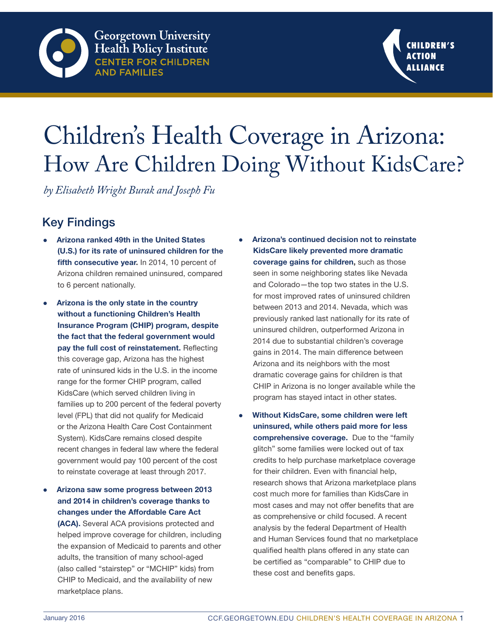

# Children's Health Coverage in Arizona: How Are Children Doing Without KidsCare?

*by Elisabeth Wright Burak and Joseph Fu*

# Key Findings

- Arizona ranked 49th in the United States (U.S.) for its rate of uninsured children for the fifth consecutive year. In 2014, 10 percent of Arizona children remained uninsured, compared to 6 percent nationally.
- Arizona is the only state in the country without a functioning Children's Health Insurance Program (CHIP) program, despite the fact that the federal government would pay the full cost of reinstatement. Reflecting this coverage gap, Arizona has the highest rate of uninsured kids in the U.S. in the income range for the former CHIP program, called KidsCare (which served children living in families up to 200 percent of the federal poverty level (FPL) that did not qualify for Medicaid or the Arizona Health Care Cost Containment System). KidsCare remains closed despite recent changes in federal law where the federal government would pay 100 percent of the cost to reinstate coverage at least through 2017.
- Arizona saw some progress between 2013 and 2014 in children's coverage thanks to changes under the Affordable Care Act

(ACA). Several ACA provisions protected and helped improve coverage for children, including the expansion of Medicaid to parents and other adults, the transition of many school-aged (also called "stairstep" or "MCHIP" kids) from CHIP to Medicaid, and the availability of new marketplace plans.

- Arizona's continued decision not to reinstate KidsCare likely prevented more dramatic coverage gains for children, such as those seen in some neighboring states like Nevada and Colorado—the top two states in the U.S. for most improved rates of uninsured children between 2013 and 2014. Nevada, which was previously ranked last nationally for its rate of uninsured children, outperformed Arizona in 2014 due to substantial children's coverage gains in 2014. The main difference between Arizona and its neighbors with the most dramatic coverage gains for children is that CHIP in Arizona is no longer available while the program has stayed intact in other states.
- Without KidsCare, some children were left uninsured, while others paid more for less comprehensive coverage. Due to the "family glitch" some families were locked out of tax credits to help purchase marketplace coverage for their children. Even with financial help, research shows that Arizona marketplace plans cost much more for families than KidsCare in most cases and may not offer benefits that are as comprehensive or child focused. A recent analysis by the federal Department of Health and Human Services found that no marketplace qualified health plans offered in any state can be certified as "comparable" to CHIP due to these cost and benefits gaps.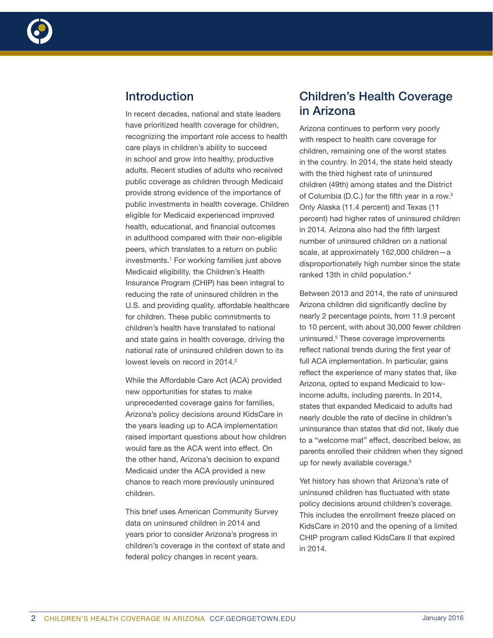

# Introduction

In recent decades, national and state leaders have prioritized health coverage for children, recognizing the important role access to health care plays in children's ability to succeed in school and grow into healthy, productive adults. Recent studies of adults who received public coverage as children through Medicaid provide strong evidence of the importance of public investments in health coverage. Children eligible for Medicaid experienced improved health, educational, and financial outcomes in adulthood compared with their non-eligible peers, which translates to a return on public investments.1 For working families just above Medicaid eligibility, the Children's Health Insurance Program (CHIP) has been integral to reducing the rate of uninsured children in the U.S. and providing quality, affordable healthcare for children. These public commitments to children's health have translated to national and state gains in health coverage, driving the national rate of uninsured children down to its lowest levels on record in 2014.<sup>2</sup>

While the Affordable Care Act (ACA) provided new opportunities for states to make unprecedented coverage gains for families, Arizona's policy decisions around KidsCare in the years leading up to ACA implementation raised important questions about how children would fare as the ACA went into effect. On the other hand, Arizona's decision to expand Medicaid under the ACA provided a new chance to reach more previously uninsured children.

This brief uses American Community Survey data on uninsured children in 2014 and years prior to consider Arizona's progress in children's coverage in the context of state and federal policy changes in recent years.

# Children's Health Coverage in Arizona

Arizona continues to perform very poorly with respect to health care coverage for children, remaining one of the worst states in the country. In 2014, the state held steady with the third highest rate of uninsured children (49th) among states and the District of Columbia (D.C.) for the fifth year in a row.3 Only Alaska (11.4 percent) and Texas (11 percent) had higher rates of uninsured children in 2014. Arizona also had the fifth largest number of uninsured children on a national scale, at approximately 162,000 children—a disproportionately high number since the state ranked 13th in child population.4

Between 2013 and 2014, the rate of uninsured Arizona children did significantly decline by nearly 2 percentage points, from 11.9 percent to 10 percent, with about 30,000 fewer children uninsured.5 These coverage improvements reflect national trends during the first year of full ACA implementation. In particular, gains reflect the experience of many states that, like Arizona, opted to expand Medicaid to lowincome adults, including parents. In 2014, states that expanded Medicaid to adults had nearly double the rate of decline in children's uninsurance than states that did not, likely due to a "welcome mat" effect, described below, as parents enrolled their children when they signed up for newly available coverage.<sup>6</sup>

Yet history has shown that Arizona's rate of uninsured children has fluctuated with state policy decisions around children's coverage. This includes the enrollment freeze placed on KidsCare in 2010 and the opening of a limited CHIP program called KidsCare II that expired in 2014.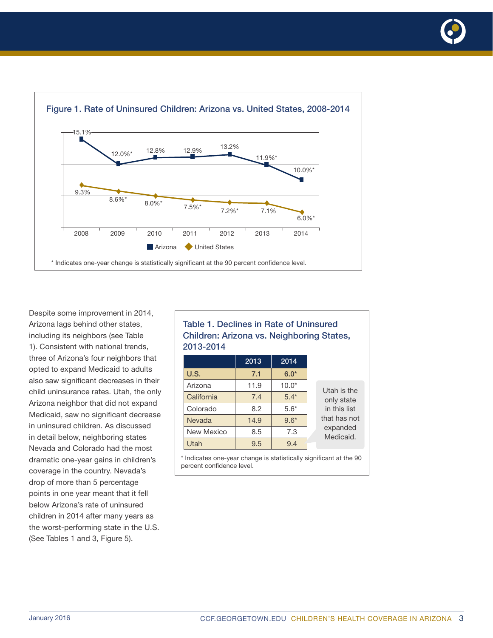

Despite some improvement in 2014, Arizona lags behind other states, including its neighbors (see Table 1). Consistent with national trends, three of Arizona's four neighbors that opted to expand Medicaid to adults also saw significant decreases in their child uninsurance rates. Utah, the only Arizona neighbor that did not expand Medicaid, saw no significant decrease in uninsured children. As discussed in detail below, neighboring states Nevada and Colorado had the most dramatic one-year gains in children's coverage in the country. Nevada's drop of more than 5 percentage points in one year meant that it fell below Arizona's rate of uninsured children in 2014 after many years as the worst-performing state in the U.S. (See Tables 1 and 3, Figure 5).

## Table 1. Declines in Rate of Uninsured Children: Arizona vs. Neighboring States, 2013-2014

|               | 2013 | 2014    |                       |
|---------------|------|---------|-----------------------|
| U.S.          | 7.1  | $6.0*$  |                       |
| Arizona       | 11.9 | $10.0*$ | Utah is the           |
| California    | 7.4  | $5.4*$  | only state            |
| Colorado      | 8.2  | $5.6*$  | in this list          |
| <b>Nevada</b> | 14.9 | $9.6*$  | that has not          |
| New Mexico    | 8.5  | 7.3     | expanded<br>Medicaid. |
| Utah          | 9.5  | 9.4     |                       |

\* Indicates one-year change is statistically significant at the 90 percent confidence level.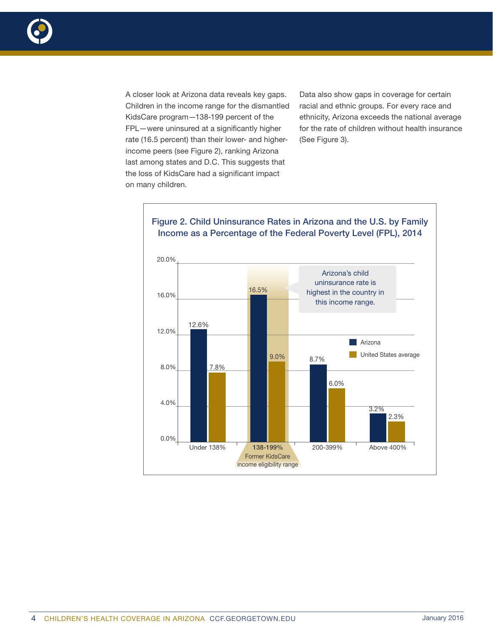

A closer look at Arizona data reveals key gaps. Children in the income range for the dismantled KidsCare program—138-199 percent of the FPL—were uninsured at a significantly higher rate (16.5 percent) than their lower- and higherincome peers (see Figure 2), ranking Arizona last among states and D.C. This suggests that the loss of KidsCare had a significant impact on many children.

Data also show gaps in coverage for certain racial and ethnic groups. For every race and ethnicity, Arizona exceeds the national average for the rate of children without health insurance (See Figure 3).



## 4 CHILDREN'S HEALTH COVERAGE IN ARIZONA CCF.GEORGETOWN.EDU **GALACTER 1999** January 2016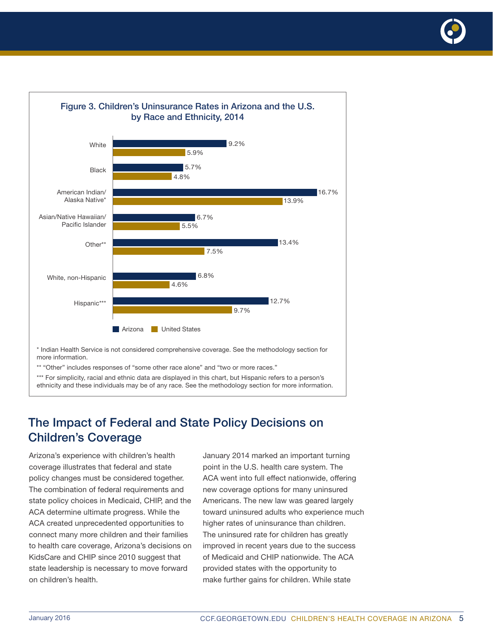



\*\* "Other" includes responses of "some other race alone" and "two or more races."

\*\*\* For simplicity, racial and ethnic data are displayed in this chart, but Hispanic refers to a person's ethnicity and these individuals may be of any race. See the methodology section for more information.

# The Impact of Federal and State Policy Decisions on Children's Coverage

Arizona's experience with children's health coverage illustrates that federal and state policy changes must be considered together. The combination of federal requirements and state policy choices in Medicaid, CHIP, and the ACA determine ultimate progress. While the ACA created unprecedented opportunities to connect many more children and their families to health care coverage, Arizona's decisions on KidsCare and CHIP since 2010 suggest that state leadership is necessary to move forward on children's health.

January 2014 marked an important turning point in the U.S. health care system. The ACA went into full effect nationwide, offering new coverage options for many uninsured Americans. The new law was geared largely toward uninsured adults who experience much higher rates of uninsurance than children. The uninsured rate for children has greatly improved in recent years due to the success of Medicaid and CHIP nationwide. The ACA provided states with the opportunity to make further gains for children. While state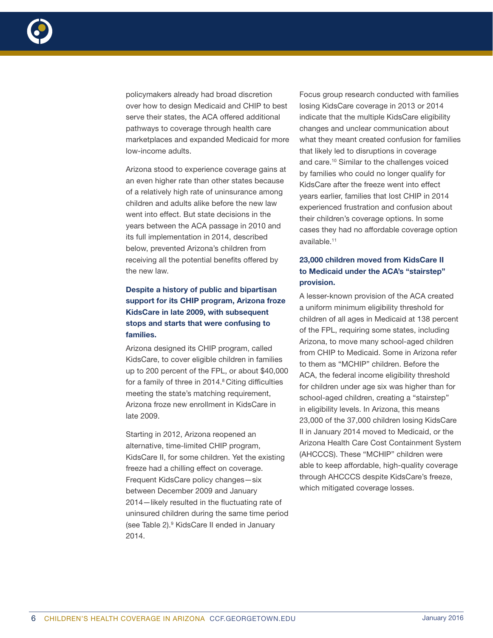

policymakers already had broad discretion over how to design Medicaid and CHIP to best serve their states, the ACA offered additional pathways to coverage through health care marketplaces and expanded Medicaid for more low-income adults.

Arizona stood to experience coverage gains at an even higher rate than other states because of a relatively high rate of uninsurance among children and adults alike before the new law went into effect. But state decisions in the years between the ACA passage in 2010 and its full implementation in 2014, described below, prevented Arizona's children from receiving all the potential benefits offered by the new law.

## Despite a history of public and bipartisan support for its CHIP program, Arizona froze KidsCare in late 2009, with subsequent stops and starts that were confusing to families.

Arizona designed its CHIP program, called KidsCare, to cover eligible children in families up to 200 percent of the FPL, or about \$40,000 for a family of three in 2014.<sup>8</sup> Citing difficulties meeting the state's matching requirement, Arizona froze new enrollment in KidsCare in late 2009.

Starting in 2012, Arizona reopened an alternative, time-limited CHIP program, KidsCare II, for some children. Yet the existing freeze had a chilling effect on coverage. Frequent KidsCare policy changes—six between December 2009 and January 2014—likely resulted in the fluctuating rate of uninsured children during the same time period (see Table 2).9 KidsCare II ended in January 2014.

Focus group research conducted with families losing KidsCare coverage in 2013 or 2014 indicate that the multiple KidsCare eligibility changes and unclear communication about what they meant created confusion for families that likely led to disruptions in coverage and care.10 Similar to the challenges voiced by families who could no longer qualify for KidsCare after the freeze went into effect years earlier, families that lost CHIP in 2014 experienced frustration and confusion about their children's coverage options. In some cases they had no affordable coverage option available.11

### 23,000 children moved from KidsCare II to Medicaid under the ACA's "stairstep" provision.

A lesser-known provision of the ACA created a uniform minimum eligibility threshold for children of all ages in Medicaid at 138 percent of the FPL, requiring some states, including Arizona, to move many school-aged children from CHIP to Medicaid. Some in Arizona refer to them as "MCHIP" children. Before the ACA, the federal income eligibility threshold for children under age six was higher than for school-aged children, creating a "stairstep" in eligibility levels. In Arizona, this means 23,000 of the 37,000 children losing KidsCare II in January 2014 moved to Medicaid, or the Arizona Health Care Cost Containment System (AHCCCS). These "MCHIP" children were able to keep affordable, high-quality coverage through AHCCCS despite KidsCare's freeze, which mitigated coverage losses.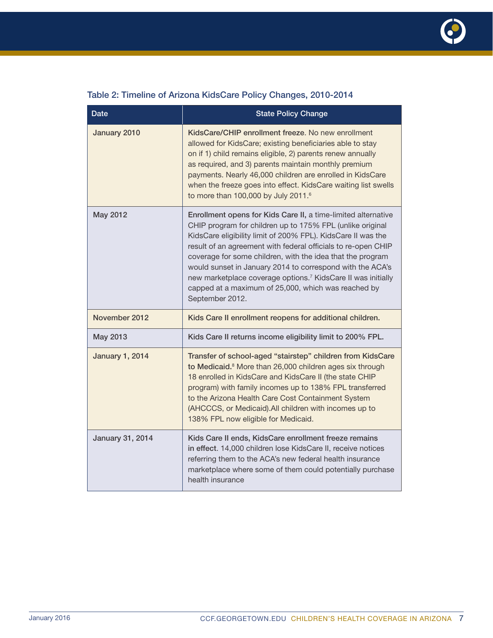

|  |  |  | Table 2: Timeline of Arizona KidsCare Policy Changes, 2010-2014 |
|--|--|--|-----------------------------------------------------------------|
|  |  |  |                                                                 |

| <b>Date</b>             | <b>State Policy Change</b>                                                                                                                                                                                                                                                                                                                                                                                                                                                                                                                   |  |  |
|-------------------------|----------------------------------------------------------------------------------------------------------------------------------------------------------------------------------------------------------------------------------------------------------------------------------------------------------------------------------------------------------------------------------------------------------------------------------------------------------------------------------------------------------------------------------------------|--|--|
| January 2010            | KidsCare/CHIP enrollment freeze. No new enrollment<br>allowed for KidsCare; existing beneficiaries able to stay<br>on if 1) child remains eligible, 2) parents renew annually<br>as required, and 3) parents maintain monthly premium<br>payments. Nearly 46,000 children are enrolled in KidsCare<br>when the freeze goes into effect. KidsCare waiting list swells<br>to more than 100,000 by July 2011.6                                                                                                                                  |  |  |
| May 2012                | Enrollment opens for Kids Care II, a time-limited alternative<br>CHIP program for children up to 175% FPL (unlike original<br>KidsCare eligibility limit of 200% FPL). KidsCare II was the<br>result of an agreement with federal officials to re-open CHIP<br>coverage for some children, with the idea that the program<br>would sunset in January 2014 to correspond with the ACA's<br>new marketplace coverage options. <sup>7</sup> KidsCare II was initially<br>capped at a maximum of 25,000, which was reached by<br>September 2012. |  |  |
| November 2012           | Kids Care II enrollment reopens for additional children.                                                                                                                                                                                                                                                                                                                                                                                                                                                                                     |  |  |
| May 2013                | Kids Care II returns income eligibility limit to 200% FPL.                                                                                                                                                                                                                                                                                                                                                                                                                                                                                   |  |  |
| <b>January 1, 2014</b>  | Transfer of school-aged "stairstep" children from KidsCare<br>to Medicaid. <sup>8</sup> More than 26,000 children ages six through<br>18 enrolled in KidsCare and KidsCare II (the state CHIP<br>program) with family incomes up to 138% FPL transferred<br>to the Arizona Health Care Cost Containment System<br>(AHCCCS, or Medicaid). All children with incomes up to<br>138% FPL now eligible for Medicaid.                                                                                                                              |  |  |
| <b>January 31, 2014</b> | Kids Care II ends, KidsCare enrollment freeze remains<br>in effect. 14,000 children lose KidsCare II, receive notices<br>referring them to the ACA's new federal health insurance<br>marketplace where some of them could potentially purchase<br>health insurance                                                                                                                                                                                                                                                                           |  |  |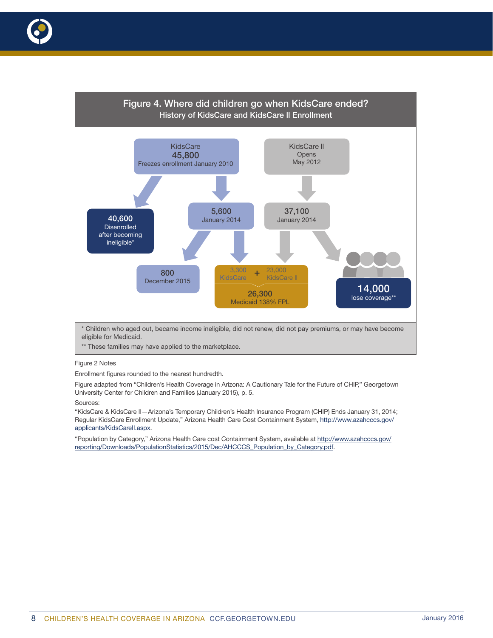

\*\* These families may have applied to the marketplace.

#### Figure 2 Notes

Enrollment figures rounded to the nearest hundredth.

Figure adapted from "Children's Health Coverage in Arizona: A Cautionary Tale for the Future of CHIP," Georgetown University Center for Children and Families (January 2015), p. 5.

#### Sources:

"KidsCare & KidsCare II—Arizona's Temporary Children's Health Insurance Program (CHIP) Ends January 31, 2014; Regular KidsCare Enrollment Update," Arizona Health Care Cost Containment System, http://www.azahcccs.gov/ applicants/KidsCarell.aspx.

"Population by Category," Arizona Health Care cost Containment System, available at http://www.azahcccs.gov/ reporting/Downloads/PopulationStatistics/2015/Dec/AHCCCS\_Population\_by\_Category.pdf.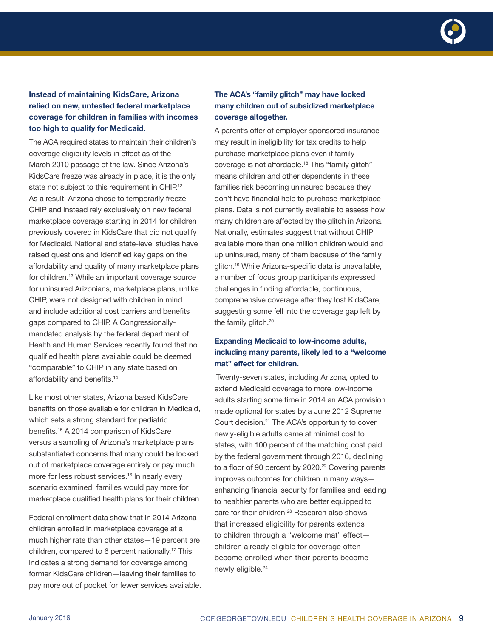![](_page_8_Picture_0.jpeg)

## Instead of maintaining KidsCare, Arizona relied on new, untested federal marketplace coverage for children in families with incomes too high to qualify for Medicaid.

The ACA required states to maintain their children's coverage eligibility levels in effect as of the March 2010 passage of the law. Since Arizona's KidsCare freeze was already in place, it is the only state not subject to this requirement in CHIP.<sup>12</sup> As a result, Arizona chose to temporarily freeze CHIP and instead rely exclusively on new federal marketplace coverage starting in 2014 for children previously covered in KidsCare that did not qualify for Medicaid. National and state-level studies have raised questions and identified key gaps on the affordability and quality of many marketplace plans for children.13 While an important coverage source for uninsured Arizonians, marketplace plans, unlike CHIP, were not designed with children in mind and include additional cost barriers and benefits gaps compared to CHIP. A Congressionallymandated analysis by the federal department of Health and Human Services recently found that no qualified health plans available could be deemed "comparable" to CHIP in any state based on affordability and benefits.14

Like most other states, Arizona based KidsCare benefits on those available for children in Medicaid, which sets a strong standard for pediatric benefits.15 A 2014 comparison of KidsCare versus a sampling of Arizona's marketplace plans substantiated concerns that many could be locked out of marketplace coverage entirely or pay much more for less robust services.<sup>16</sup> In nearly every scenario examined, families would pay more for marketplace qualified health plans for their children.

Federal enrollment data show that in 2014 Arizona children enrolled in marketplace coverage at a much higher rate than other states—19 percent are children, compared to 6 percent nationally.17 This indicates a strong demand for coverage among former KidsCare children—leaving their families to pay more out of pocket for fewer services available.

#### The ACA's "family glitch" may have locked many children out of subsidized marketplace coverage altogether.

A parent's offer of employer-sponsored insurance may result in ineligibility for tax credits to help purchase marketplace plans even if family coverage is not affordable.18 This "family glitch" means children and other dependents in these families risk becoming uninsured because they don't have financial help to purchase marketplace plans. Data is not currently available to assess how many children are affected by the glitch in Arizona. Nationally, estimates suggest that without CHIP available more than one million children would end up uninsured, many of them because of the family glitch.19 While Arizona-specific data is unavailable, a number of focus group participants expressed challenges in finding affordable, continuous, comprehensive coverage after they lost KidsCare, suggesting some fell into the coverage gap left by the family glitch.<sup>20</sup>

## Expanding Medicaid to low-income adults, including many parents, likely led to a "welcome mat" effect for children.

Twenty-seven states, including Arizona, opted to extend Medicaid coverage to more low-income adults starting some time in 2014 an ACA provision made optional for states by a June 2012 Supreme Court decision.21 The ACA's opportunity to cover newly-eligible adults came at minimal cost to states, with 100 percent of the matching cost paid by the federal government through 2016, declining to a floor of 90 percent by 2020.<sup>22</sup> Covering parents improves outcomes for children in many ways enhancing financial security for families and leading to healthier parents who are better equipped to care for their children.<sup>23</sup> Research also shows that increased eligibility for parents extends to children through a "welcome mat" effect children already eligible for coverage often become enrolled when their parents become newly eligible.<sup>24</sup>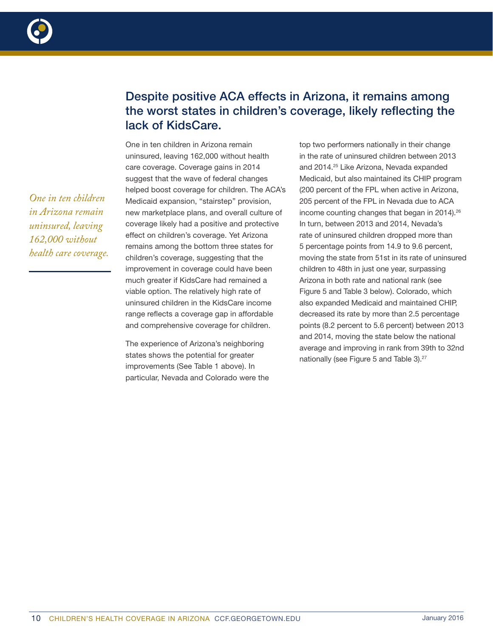![](_page_9_Picture_0.jpeg)

# Despite positive ACA effects in Arizona, it remains among the worst states in children's coverage, likely reflecting the lack of KidsCare.

One in ten children in Arizona remain uninsured, leaving 162,000 without health care coverage. Coverage gains in 2014 suggest that the wave of federal changes helped boost coverage for children. The ACA's Medicaid expansion, "stairstep" provision, new marketplace plans, and overall culture of coverage likely had a positive and protective effect on children's coverage. Yet Arizona remains among the bottom three states for children's coverage, suggesting that the improvement in coverage could have been much greater if KidsCare had remained a viable option. The relatively high rate of uninsured children in the KidsCare income range reflects a coverage gap in affordable and comprehensive coverage for children.

The experience of Arizona's neighboring states shows the potential for greater improvements (See Table 1 above). In particular, Nevada and Colorado were the

top two performers nationally in their change in the rate of uninsured children between 2013 and 2014.25 Like Arizona, Nevada expanded Medicaid, but also maintained its CHIP program (200 percent of the FPL when active in Arizona, 205 percent of the FPL in Nevada due to ACA income counting changes that began in 2014).<sup>26</sup> In turn, between 2013 and 2014, Nevada's rate of uninsured children dropped more than 5 percentage points from 14.9 to 9.6 percent, moving the state from 51st in its rate of uninsured children to 48th in just one year, surpassing Arizona in both rate and national rank (see Figure 5 and Table 3 below). Colorado, which also expanded Medicaid and maintained CHIP, decreased its rate by more than 2.5 percentage points (8.2 percent to 5.6 percent) between 2013 and 2014, moving the state below the national average and improving in rank from 39th to 32nd nationally (see Figure 5 and Table 3).<sup>27</sup>

*One in ten children in Arizona remain uninsured, leaving 162,000 without health care coverage.*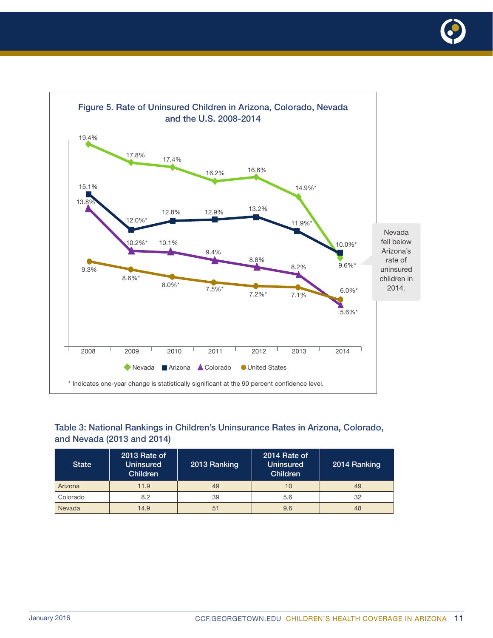![](_page_10_Picture_0.jpeg)

![](_page_10_Figure_1.jpeg)

## Table 3: National Rankings in Children's Uninsurance Rates in Arizona, Colorado, and Nevada (2013 and 2014)

| <b>State</b> | 2013 Rate of<br><b>Uninsured</b><br><b>Children</b> | 2013 Ranking | 2014 Rate of<br><b>Uninsured</b><br><b>Children</b> | 2014 Ranking |
|--------------|-----------------------------------------------------|--------------|-----------------------------------------------------|--------------|
| Arizona      | 11.9                                                | 49           | 10                                                  | 49           |
| Colorado     | 8.2                                                 | 39           | 5.6                                                 | 32           |
| Nevada       | 14.9                                                | 51           | 9.6                                                 | 48           |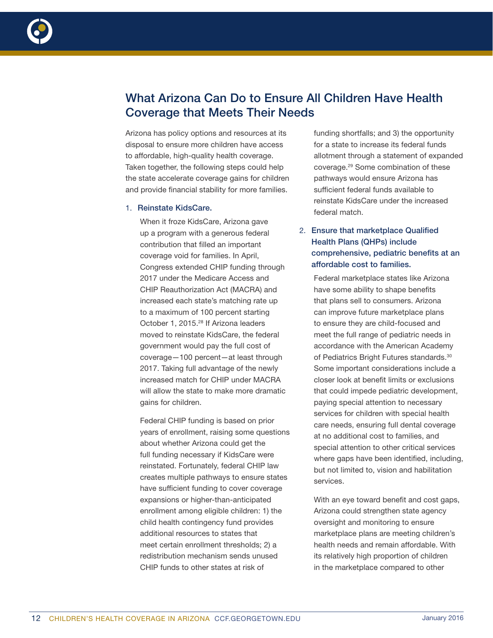![](_page_11_Picture_0.jpeg)

# What Arizona Can Do to Ensure All Children Have Health Coverage that Meets Their Needs

Arizona has policy options and resources at its disposal to ensure more children have access to affordable, high-quality health coverage. Taken together, the following steps could help the state accelerate coverage gains for children and provide financial stability for more families.

#### 1. Reinstate KidsCare.

When it froze KidsCare, Arizona gave up a program with a generous federal contribution that filled an important coverage void for families. In April, Congress extended CHIP funding through 2017 under the Medicare Access and CHIP Reauthorization Act (MACRA) and increased each state's matching rate up to a maximum of 100 percent starting October 1, 2015.<sup>28</sup> If Arizona leaders moved to reinstate KidsCare, the federal government would pay the full cost of coverage—100 percent—at least through 2017. Taking full advantage of the newly increased match for CHIP under MACRA will allow the state to make more dramatic gains for children.

Federal CHIP funding is based on prior years of enrollment, raising some questions about whether Arizona could get the full funding necessary if KidsCare were reinstated. Fortunately, federal CHIP law creates multiple pathways to ensure states have sufficient funding to cover coverage expansions or higher-than-anticipated enrollment among eligible children: 1) the child health contingency fund provides additional resources to states that meet certain enrollment thresholds; 2) a redistribution mechanism sends unused CHIP funds to other states at risk of

funding shortfalls; and 3) the opportunity for a state to increase its federal funds allotment through a statement of expanded coverage.29 Some combination of these pathways would ensure Arizona has sufficient federal funds available to reinstate KidsCare under the increased federal match.

## 2. Ensure that marketplace Qualified Health Plans (QHPs) include comprehensive, pediatric benefits at an affordable cost to families.

Federal marketplace states like Arizona have some ability to shape benefits that plans sell to consumers. Arizona can improve future marketplace plans to ensure they are child-focused and meet the full range of pediatric needs in accordance with the American Academy of Pediatrics Bright Futures standards.30 Some important considerations include a closer look at benefit limits or exclusions that could impede pediatric development, paying special attention to necessary services for children with special health care needs, ensuring full dental coverage at no additional cost to families, and special attention to other critical services where gaps have been identified, including, but not limited to, vision and habilitation services.

With an eye toward benefit and cost gaps, Arizona could strengthen state agency oversight and monitoring to ensure marketplace plans are meeting children's health needs and remain affordable. With its relatively high proportion of children in the marketplace compared to other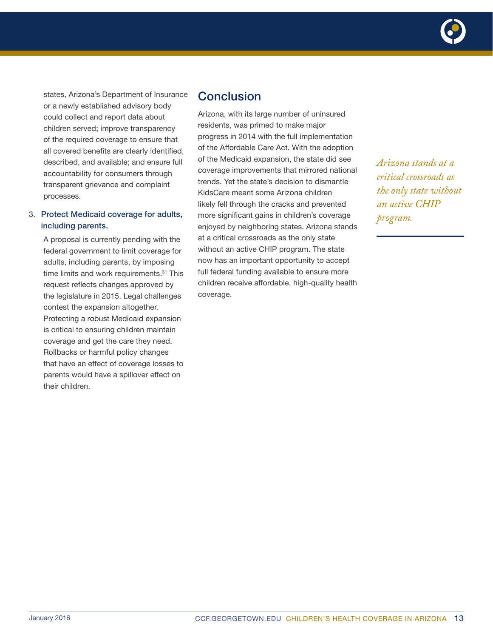![](_page_12_Picture_0.jpeg)

states, Arizona's Department of Insurance or a newly established advisory body could collect and report data about children served; improve transparency of the required coverage to ensure that all covered benefits are clearly identified, described, and available; and ensure full accountability for consumers through transparent grievance and complaint processes.

#### 3. Protect Medicaid coverage for adults, including parents.

A proposal is currently pending with the federal government to limit coverage for adults, including parents, by imposing time limits and work requirements.<sup>31</sup> This request reflects changes approved by the legislature in 2015. Legal challenges contest the expansion altogether. Protecting a robust Medicaid expansion is critical to ensuring children maintain coverage and get the care they need. Rollbacks or harmful policy changes that have an effect of coverage losses to parents would have a spillover effect on their children.

## Conclusion

Arizona, with its large number of uninsured residents, was primed to make major progress in 2014 with the full implementation of the Affordable Care Act. With the adoption of the Medicaid expansion, the state did see coverage improvements that mirrored national trends. Yet the state's decision to dismantle KidsCare meant some Arizona children likely fell through the cracks and prevented more significant gains in children's coverage enjoyed by neighboring states. Arizona stands at a critical crossroads as the only state without an active CHIP program. The state now has an important opportunity to accept full federal funding available to ensure more children receive affordable, high-quality health coverage.

*Arizona stands at a critical crossroads as the only state without an active CHIP program.*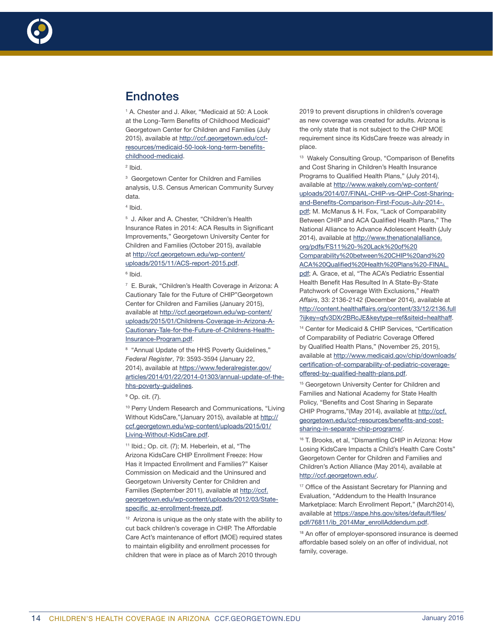![](_page_13_Picture_0.jpeg)

# **Endnotes**

1 A. Chester and J. Alker, "Medicaid at 50: A Look at the Long-Term Benefits of Childhood Medicaid" Georgetown Center for Children and Families (July 2015), available at http://ccf.georgetown.edu/ccfresources/medicaid-50-look-long-term-benefitschildhood-medicaid.

2 Ibid.

<sup>3</sup> Georgetown Center for Children and Families analysis, U.S. Census American Community Survey data.

4 Ibid.

5 J. Alker and A. Chester, "Children's Health Insurance Rates in 2014: ACA Results in Significant Improvements," Georgetown University Center for Children and Families (October 2015), available at http://ccf.georgetown.edu/wp-content/ uploads/2015/11/ACS-report-2015.pdf.

6 Ibid.

7 E. Burak, "Children's Health Coverage in Arizona: A Cautionary Tale for the Future of CHIP"Georgetown Center for Children and Families (January 2015), available at http://ccf.georgetown.edu/wp-content/ uploads/2015/01/Childrens-Coverage-in-Arizona-A-Cautionary-Tale-for-the-Future-of-Childrens-Health-Insurance-Program.pdf.

<sup>8</sup> "Annual Update of the HHS Poverty Guidelines," *Federal Register*, 79: 3593-3594 (January 22, 2014), available at https://www.federalregister.gov/ articles/2014/01/22/2014-01303/annual-update-of-thehhs-poverty-guidelines.

<sup>10</sup> Perry Undem Research and Communications, "Living Without KidsCare,"(January 2015), available at http:// ccf.georgetown.edu/wp-content/uploads/2015/01/ Living-Without-KidsCare.pdf.

11 Ibid.; Op. cit. (7); M. Heberlein, et al, "The Arizona KidsCare CHIP Enrollment Freeze: How Has it Impacted Enrollment and Families?" Kaiser Commission on Medicaid and the Uninsured and Georgetown University Center for Children and Families (September 2011), available at http://ccf. georgetown.edu/wp-content/uploads/2012/03/Statespecific\_az-enrollment-freeze.pdf.

<sup>12</sup> Arizona is unique as the only state with the ability to cut back children's coverage in CHIP. The Affordable Care Act's maintenance of effort (MOE) required states to maintain eligibility and enrollment processes for children that were in place as of March 2010 through

2019 to prevent disruptions in children's coverage as new coverage was created for adults. Arizona is the only state that is not subject to the CHIP MOE requirement since its KidsCare freeze was already in place.

13 Wakely Consulting Group, "Comparison of Benefits and Cost Sharing in Children's Health Insurance Programs to Qualified Health Plans," (July 2014), available at http://www.wakely.com/wp-content/ uploads/2014/07/FINAL-CHIP-vs-QHP-Cost-Sharingand-Benefits-Comparison-First-Focus-July-2014-. pdf; M. McManus & H. Fox, "Lack of Comparability Between CHIP and ACA Qualified Health Plans," The National Alliance to Advance Adolescent Health (July 2014), available at http://www.thenationalalliance. org/pdfs/FS11%20-%20Lack%20of%20 Comparability%20between%20CHIP%20and%20 ACA%20Qualified%20Health%20Plans%20-FINAL. pdf; A. Grace, et al, "The ACA's Pediatric Essential Health Benefit Has Resulted In A State-By-State Patchwork of Coverage With Exclusions," *Health Affairs*, 33: 2136-2142 (December 2014), available at http://content.healthaffairs.org/content/33/12/2136.full ?ijkey=qfv3DXr2BRcJE&keytype=ref&siteid=healthaff.

14 Center for Medicaid & CHIP Services, "Certification of Comparability of Pediatric Coverage Offered by Qualified Health Plans," (November 25, 2015), available at http://www.medicaid.gov/chip/downloads/ certification-of-comparability-of-pediatric-coverageoffered-by-qualified-health-plans.pdf.

<sup>15</sup> Georgetown University Center for Children and Families and National Academy for State Health Policy, "Benefits and Cost Sharing in Separate CHIP Programs,"(May 2014), available at http://ccf. georgetown.edu/ccf-resources/benefits-and-costsharing-in-separate-chip-programs/.

16 T. Brooks, et al, "Dismantling CHIP in Arizona: How Losing KidsCare Impacts a Child's Health Care Costs" Georgetown Center for Children and Families and Children's Action Alliance (May 2014), available at http://ccf.georgetown.edu/.

<sup>17</sup> Office of the Assistant Secretary for Planning and Evaluation, "Addendum to the Health Insurance Marketplace: March Enrollment Report," (March2014), available at https://aspe.hhs.gov/sites/default/files/ pdf/76811/ib\_2014Mar\_enrollAddendum.pdf.

<sup>18</sup> An offer of employer-sponsored insurance is deemed affordable based solely on an offer of individual, not family, coverage.

<sup>&</sup>lt;sup>9</sup> Op. cit. (7).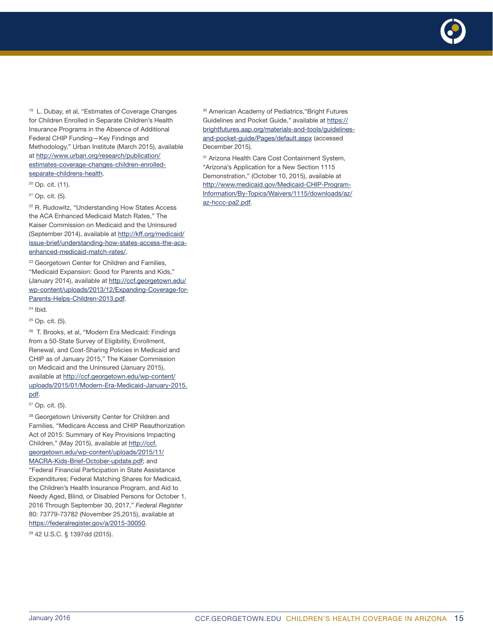19 L. Dubay, et al, "Estimates of Coverage Changes for Children Enrolled in Separate Children's Health Insurance Programs in the Absence of Additional Federal CHIP Funding—Key Findings and Methodology," Urban Institute (March 2015), available at http://www.urban.org/research/publication/ estimates-coverage-changes-children-enrolledseparate-childrens-health.

- 20 Op. cit. (11).
- 21 Op. cit. (5).

22 R. Rudowitz, "Understanding How States Access the ACA Enhanced Medicaid Match Rates," The Kaiser Commission on Medicaid and the Uninsured (September 2014), available at http://kff.org/medicaid/ issue-brief/understanding-how-states-access-the-acaenhanced-medicaid-match-rates/.

<sup>23</sup> Georgetown Center for Children and Families, "Medicaid Expansion: Good for Parents and Kids," (January 2014), available at http://ccf.georgetown.edu/ wp-content/uploads/2013/12/Expanding-Coverage-for-Parents-Helps-Children-2013.pdf.

24 Ibid.

25 Op. cit. (5).

26 T. Brooks, et al, "Modern Era Medicaid: Findings from a 50-State Survey of Eligibility, Enrollment, Renewal, and Cost-Sharing Policies in Medicaid and CHIP as of January 2015," The Kaiser Commission on Medicaid and the Uninsured (January 2015), available at http://ccf.georgetown.edu/wp-content/ uploads/2015/01/Modern-Era-Medicaid-January-2015. pdf.

27 Op. cit. (5).

<sup>28</sup> Georgetown University Center for Children and Families, "Medicare Access and CHIP Reauthorization Act of 2015: Summary of Key Provisions Impacting Children," (May 2015), available at http://ccf. georgetown.edu/wp-content/uploads/2015/11/ MACRA-Kids-Brief-October-update.pdf; and "Federal Financial Participation in State Assistance Expenditures; Federal Matching Shares for Medicaid, the Children's Health Insurance Program, and Aid to Needy Aged, Blind, or Disabled Persons for October 1, 2016 Through September 30, 2017," *Federal Register* 80: 73779-73782 (November 25,2015), available at https://federalregister.gov/a/2015-30050.

29 42 U.S.C. § 1397dd (2015).

30 American Academy of Pediatrics,"Bright Futures Guidelines and Pocket Guide," available at https:// brightfutures.aap.org/materials-and-tools/guidelinesand-pocket-guide/Pages/default.aspx (accessed December 2015).

<sup>31</sup> Arizona Health Care Cost Containment System, "Arizona's Application for a New Section 1115 Demonstration," (October 10, 2015), available at http://www.medicaid.gov/Medicaid-CHIP-Program-Information/By-Topics/Waivers/1115/downloads/az/ az-hccc-pa2.pdf.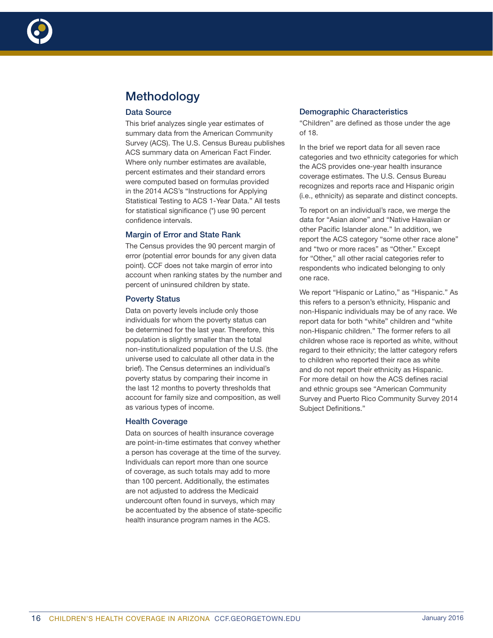![](_page_15_Picture_0.jpeg)

# **Methodology**

#### Data Source

This brief analyzes single year estimates of summary data from the American Community Survey (ACS). The U.S. Census Bureau publishes ACS summary data on American Fact Finder. Where only number estimates are available, percent estimates and their standard errors were computed based on formulas provided in the 2014 ACS's "Instructions for Applying Statistical Testing to ACS 1-Year Data." All tests for statistical significance (\*) use 90 percent confidence intervals.

#### Margin of Error and State Rank

The Census provides the 90 percent margin of error (potential error bounds for any given data point). CCF does not take margin of error into account when ranking states by the number and percent of uninsured children by state.

#### Poverty Status

Data on poverty levels include only those individuals for whom the poverty status can be determined for the last year. Therefore, this population is slightly smaller than the total non-institutionalized population of the U.S. (the universe used to calculate all other data in the brief). The Census determines an individual's poverty status by comparing their income in the last 12 months to poverty thresholds that account for family size and composition, as well as various types of income.

#### Health Coverage

Data on sources of health insurance coverage are point-in-time estimates that convey whether a person has coverage at the time of the survey. Individuals can report more than one source of coverage, as such totals may add to more than 100 percent. Additionally, the estimates are not adjusted to address the Medicaid undercount often found in surveys, which may be accentuated by the absence of state-specific health insurance program names in the ACS.

#### Demographic Characteristics

"Children" are defined as those under the age of 18.

In the brief we report data for all seven race categories and two ethnicity categories for which the ACS provides one-year health insurance coverage estimates. The U.S. Census Bureau recognizes and reports race and Hispanic origin (i.e., ethnicity) as separate and distinct concepts.

To report on an individual's race, we merge the data for "Asian alone" and "Native Hawaiian or other Pacific Islander alone." In addition, we report the ACS category "some other race alone" and "two or more races" as "Other." Except for "Other," all other racial categories refer to respondents who indicated belonging to only one race.

We report "Hispanic or Latino," as "Hispanic." As this refers to a person's ethnicity, Hispanic and non-Hispanic individuals may be of any race. We report data for both "white" children and "white non-Hispanic children." The former refers to all children whose race is reported as white, without regard to their ethnicity; the latter category refers to children who reported their race as white and do not report their ethnicity as Hispanic. For more detail on how the ACS defines racial and ethnic groups see "American Community Survey and Puerto Rico Community Survey 2014 Subject Definitions."